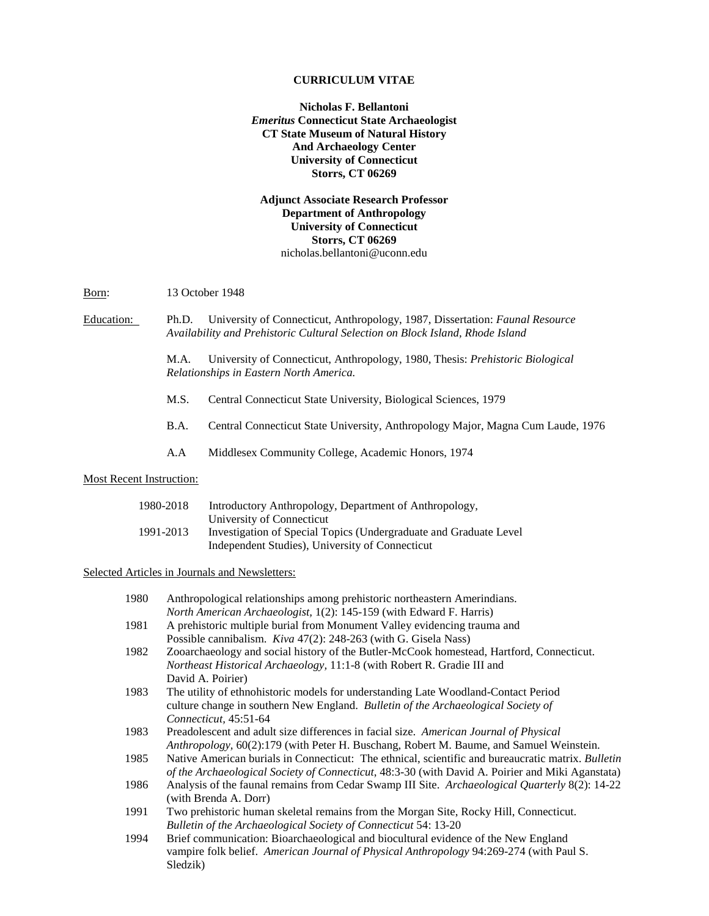### **CURRICULUM VITAE**

**Nicholas F. Bellantoni** *Emeritus* **Connecticut State Archaeologist CT State Museum of Natural History And Archaeology Center University of Connecticut Storrs, CT 06269**

**Adjunct Associate Research Professor Department of Anthropology University of Connecticut Storrs, CT 06269** [nicholas.bellantoni@uconn.edu](mailto:nicholas.bellantoni@uconn.edu)

Born: 13 October 1948

Education: Ph.D. University of Connecticut, Anthropology, 1987, Dissertation: *Faunal Resource Availability and Prehistoric Cultural Selection on Block Island, Rhode Island*

> M.A. University of Connecticut, Anthropology, 1980, Thesis: *Prehistoric Biological Relationships in Eastern North America.*

- M.S. Central Connecticut State University, Biological Sciences, 1979
- B.A. Central Connecticut State University, Anthropology Major, Magna Cum Laude, 1976
- A.A Middlesex Community College, Academic Honors, 1974

### Most Recent Instruction:

| 1980-2018 | Introductory Anthropology, Department of Anthropology,             |
|-----------|--------------------------------------------------------------------|
|           | University of Connecticut                                          |
| 1991-2013 | Investigation of Special Topics (Undergraduate and Graduate Level) |
|           | Independent Studies), University of Connecticut                    |

Selected Articles in Journals and Newsletters:

| 1980 | Anthropological relationships among prehistoric northeastern Amerindians.                          |
|------|----------------------------------------------------------------------------------------------------|
|      | North American Archaeologist, 1(2): 145-159 (with Edward F. Harris)                                |
| 1981 | A prehistoric multiple burial from Monument Valley evidencing trauma and                           |
|      | Possible cannibalism. Kiva 47(2): 248-263 (with G. Gisela Nass)                                    |
| 1982 | Zooarchaeology and social history of the Butler-McCook homestead, Hartford, Connecticut.           |
|      | Northeast Historical Archaeology, 11:1-8 (with Robert R. Gradie III and                            |
|      | David A. Poirier)                                                                                  |
| 1983 | The utility of ethnohistoric models for understanding Late Woodland-Contact Period                 |
|      | culture change in southern New England. Bulletin of the Archaeological Society of                  |
|      | Connecticut, 45:51-64                                                                              |
| 1983 | Preadolescent and adult size differences in facial size. American Journal of Physical              |
|      | Anthropology, 60(2):179 (with Peter H. Buschang, Robert M. Baume, and Samuel Weinstein.            |
| 1985 | Native American burials in Connecticut: The ethnical, scientific and bureaucratic matrix. Bulletin |
|      | of the Archaeological Society of Connecticut, 48:3-30 (with David A. Poirier and Miki Aganstata)   |
| 1986 | Analysis of the faunal remains from Cedar Swamp III Site. Archaeological Quarterly 8(2): 14-22     |
|      | (with Brenda A. Dorr)                                                                              |
| 1991 | Two prehistoric human skeletal remains from the Morgan Site, Rocky Hill, Connecticut.              |
|      | <b>Bulletin of the Archaeological Society of Connecticut 54: 13-20</b>                             |
| 1994 | Brief communication: Bioarchaeological and biocultural evidence of the New England                 |
|      | vampire folk belief. American Journal of Physical Anthropology 94:269-274 (with Paul S.            |
|      | Sledzik)                                                                                           |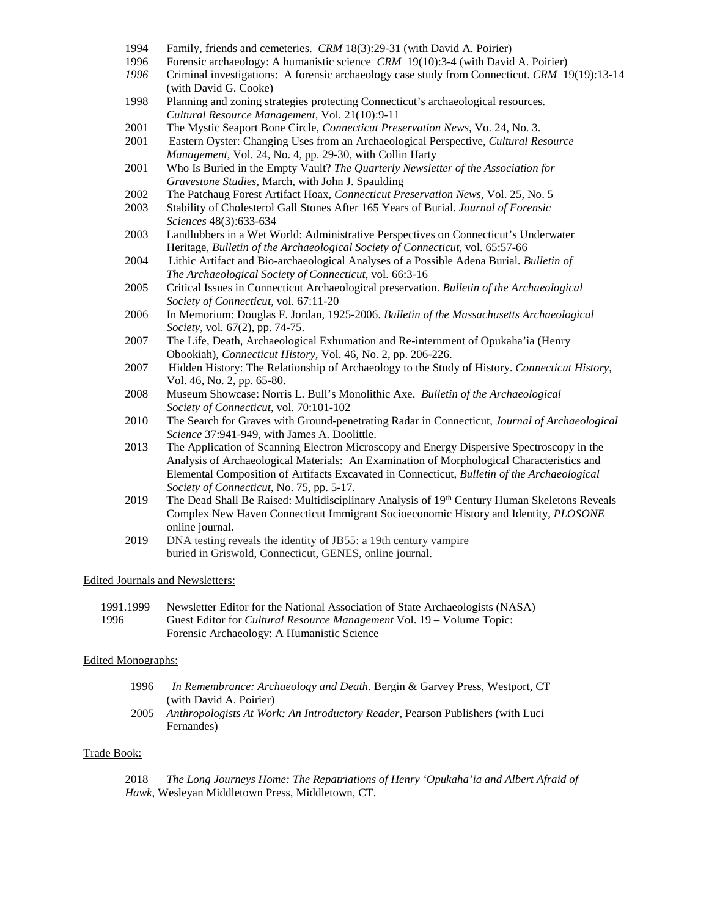- 1994 Family, friends and cemeteries. *CRM* 18(3):29-31 (with David A. Poirier)
- 1996 Forensic archaeology: A humanistic science *CRM* 19(10):3-4 (with David A. Poirier)
- *1996* Criminal investigations: A forensic archaeology case study from Connecticut. *CRM* 19(19):13-14 (with David G. Cooke)
- 1998 Planning and zoning strategies protecting Connecticut's archaeological resources. *Cultural Resource Management,* Vol. 21(10):9-11
- 2001 The Mystic Seaport Bone Circle, *Connecticut Preservation News*, Vo. 24, No. 3.
- 2001 Eastern Oyster: Changing Uses from an Archaeological Perspective, *Cultural Resource Management,* Vol. 24, No. 4, pp. 29-30, with Collin Harty
- 2001 Who Is Buried in the Empty Vault? *The Quarterly Newsletter of the Association for Gravestone Studies,* March, with John J. Spaulding
- 2002 The Patchaug Forest Artifact Hoax, *Connecticut Preservation News,* Vol. 25, No. 5
- 2003 Stability of Cholesterol Gall Stones After 165 Years of Burial. *Journal of Forensic Sciences* 48(3):633-634
- 2003 Landlubbers in a Wet World: Administrative Perspectives on Connecticut's Underwater Heritage, *Bulletin of the Archaeological Society of Connecticut,* vol. 65:57-66
- 2004 Lithic Artifact and Bio-archaeological Analyses of a Possible Adena Burial. *Bulletin of The Archaeological Society of Connecticut*, vol. 66:3-16
- 2005 Critical Issues in Connecticut Archaeological preservation. *Bulletin of the Archaeological Society of Connecticut,* vol. 67:11-20
- 2006 In Memorium: Douglas F. Jordan, 1925-2006. *Bulletin of the Massachusetts Archaeological Society*, vol. 67(2), pp. 74-75.
- 2007 The Life, Death, Archaeological Exhumation and Re-internment of Opukaha'ia (Henry Obookiah), *Connecticut History,* Vol. 46, No. 2, pp. 206-226.
- 2007 Hidden History: The Relationship of Archaeology to the Study of History. *Connecticut History*, Vol. 46, No. 2, pp. 65-80.
- 2008 Museum Showcase: Norris L. Bull's Monolithic Axe. *Bulletin of the Archaeological Society of Connecticut,* vol. 70:101-102
- 2010 The Search for Graves with Ground-penetrating Radar in Connecticut, *Journal of Archaeological Science* 37:941-949, with James A. Doolittle.
- 2013 The Application of Scanning Electron Microscopy and Energy Dispersive Spectroscopy in the Analysis of Archaeological Materials: An Examination of Morphological Characteristics and Elemental Composition of Artifacts Excavated in Connecticut, *Bulletin of the Archaeological Society of Connecticut*, No. 75, pp. 5-17.
- 2019 The Dead Shall Be Raised: Multidisciplinary Analysis of 19th Century Human Skeletons Reveals Complex New Haven Connecticut Immigrant Socioeconomic History and Identity, *PLOSONE* online journal.
- 2019 DNA testing reveals the identity of JB55: a 19th century vampire buried in Griswold, Connecticut, GENES, online journal.

### Edited Journals and Newsletters:

1991.1999 Newsletter Editor for the National Association of State Archaeologists (NASA) 1996 Guest Editor for *Cultural Resource Management* Vol. 19 – Volume Topic: Forensic Archaeology: A Humanistic Science

### Edited Monographs:

- 1996 *In Remembrance: Archaeology and Death.* Bergin & Garvey Press, Westport, CT (with David A. Poirier)
- 2005 *Anthropologists At Work: An Introductory Reader*, Pearson Publishers (with Luci Fernandes)

### Trade Book:

2018 *The Long Journeys Home: The Repatriations of Henry 'Opukaha'ia and Albert Afraid of Hawk*, Wesleyan Middletown Press, Middletown, CT.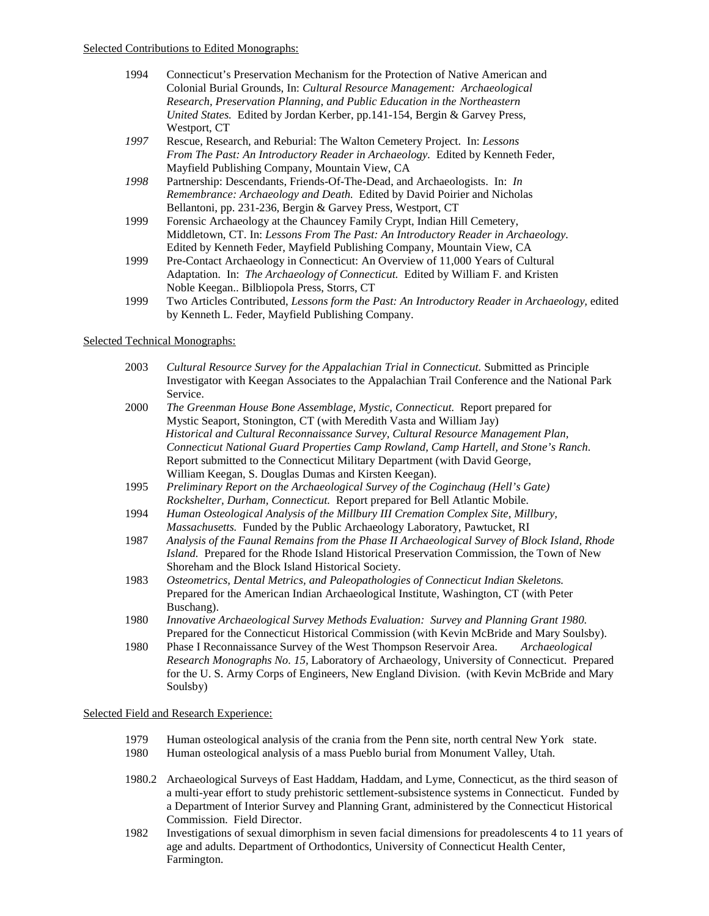- 1994 Connecticut's Preservation Mechanism for the Protection of Native American and Colonial Burial Grounds, In: *Cultural Resource Management: Archaeological Research, Preservation Planning, and Public Education in the Northeastern United States.* Edited by Jordan Kerber, pp.141-154, Bergin & Garvey Press, Westport, CT
- *1997* Rescue, Research, and Reburial: The Walton Cemetery Project. In: *Lessons From The Past: An Introductory Reader in Archaeology.* Edited by Kenneth Feder, Mayfield Publishing Company, Mountain View, CA
- *1998* Partnership: Descendants, Friends-Of-The-Dead, and Archaeologists. In: *In Remembrance: Archaeology and Death.* Edited by David Poirier and Nicholas Bellantoni, pp. 231-236, Bergin & Garvey Press, Westport, CT
- 1999 Forensic Archaeology at the Chauncey Family Crypt, Indian Hill Cemetery, Middletown, CT. In: *Lessons From The Past: An Introductory Reader in Archaeology.* Edited by Kenneth Feder, Mayfield Publishing Company, Mountain View, CA
- 1999 Pre-Contact Archaeology in Connecticut: An Overview of 11,000 Years of Cultural Adaptation. In: *The Archaeology of Connecticut.* Edited by William F. and Kristen Noble Keegan.. Bilbliopola Press, Storrs, CT
- 1999 Two Articles Contributed, *Lessons form the Past: An Introductory Reader in Archaeology,* edited by Kenneth L. Feder, Mayfield Publishing Company.

### Selected Technical Monographs:

- 2003 *Cultural Resource Survey for the Appalachian Trial in Connecticut.* Submitted as Principle Investigator with Keegan Associates to the Appalachian Trail Conference and the National Park Service.
- 2000 *The Greenman House Bone Assemblage, Mystic, Connecticut.* Report prepared for Mystic Seaport, Stonington, CT (with Meredith Vasta and William Jay) *Historical and Cultural Reconnaissance Survey, Cultural Resource Management Plan, Connecticut National Guard Properties Camp Rowland, Camp Hartell, and Stone's Ranch.* Report submitted to the Connecticut Military Department (with David George, William Keegan, S. Douglas Dumas and Kirsten Keegan).
- 1995 *Preliminary Report on the Archaeological Survey of the Coginchaug (Hell's Gate) Rockshelter, Durham, Connecticut.* Report prepared for Bell Atlantic Mobile.
- 1994 *Human Osteological Analysis of the Millbury III Cremation Complex Site, Millbury, Massachusetts.* Funded by the Public Archaeology Laboratory, Pawtucket, RI
- 1987 *Analysis of the Faunal Remains from the Phase II Archaeological Survey of Block Island, Rhode Island.* Prepared for the Rhode Island Historical Preservation Commission, the Town of New Shoreham and the Block Island Historical Society.
- 1983 *Osteometrics, Dental Metrics, and Paleopathologies of Connecticut Indian Skeletons.* Prepared for the American Indian Archaeological Institute, Washington, CT (with Peter Buschang).
- 1980 *Innovative Archaeological Survey Methods Evaluation: Survey and Planning Grant 1980.* Prepared for the Connecticut Historical Commission (with Kevin McBride and Mary Soulsby).
- 1980 Phase I Reconnaissance Survey of the West Thompson Reservoir Area. *Archaeological Research Monographs No. 15,* Laboratory of Archaeology, University of Connecticut. Prepared for the U. S. Army Corps of Engineers, New England Division. (with Kevin McBride and Mary Soulsby)

### Selected Field and Research Experience:

- 1979 Human osteological analysis of the crania from the Penn site, north central New York state.
- 1980 Human osteological analysis of a mass Pueblo burial from Monument Valley, Utah.
- 1980.2 Archaeological Surveys of East Haddam, Haddam, and Lyme, Connecticut, as the third season of a multi-year effort to study prehistoric settlement-subsistence systems in Connecticut. Funded by a Department of Interior Survey and Planning Grant, administered by the Connecticut Historical Commission. Field Director.
- 1982 Investigations of sexual dimorphism in seven facial dimensions for preadolescents 4 to 11 years of age and adults. Department of Orthodontics, University of Connecticut Health Center, Farmington.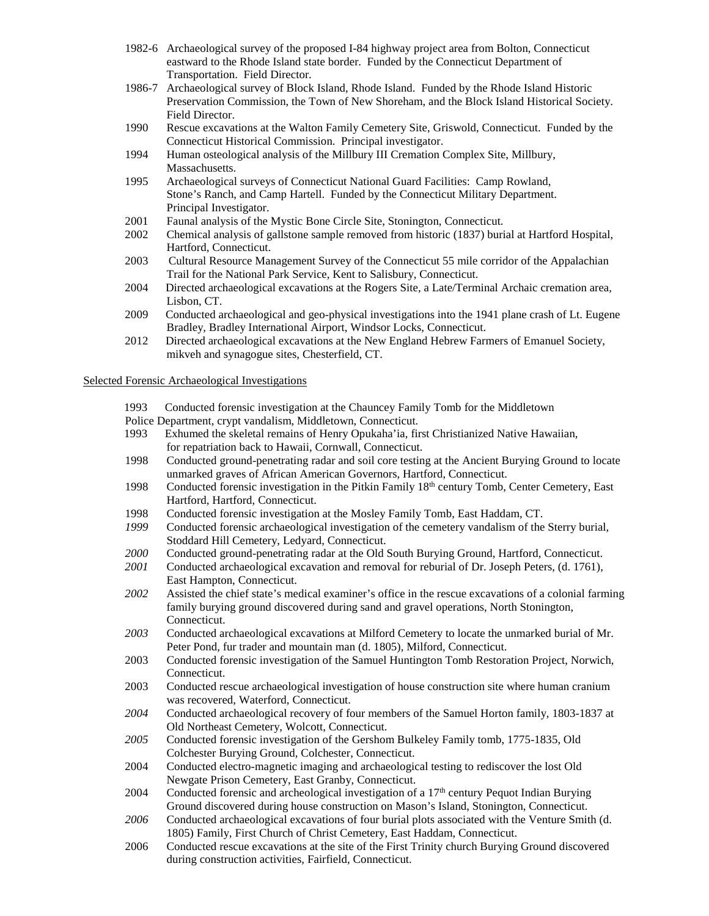- 1982-6 Archaeological survey of the proposed I-84 highway project area from Bolton, Connecticut eastward to the Rhode Island state border. Funded by the Connecticut Department of Transportation. Field Director.
- 1986-7 Archaeological survey of Block Island, Rhode Island. Funded by the Rhode Island Historic Preservation Commission, the Town of New Shoreham, and the Block Island Historical Society. Field Director.
- 1990 Rescue excavations at the Walton Family Cemetery Site, Griswold, Connecticut. Funded by the Connecticut Historical Commission. Principal investigator.
- 1994 Human osteological analysis of the Millbury III Cremation Complex Site, Millbury, Massachusetts.
- 1995 Archaeological surveys of Connecticut National Guard Facilities: Camp Rowland, Stone's Ranch, and Camp Hartell. Funded by the Connecticut Military Department. Principal Investigator.
- 2001 Faunal analysis of the Mystic Bone Circle Site, Stonington, Connecticut.
- 2002 Chemical analysis of gallstone sample removed from historic (1837) burial at Hartford Hospital, Hartford, Connecticut.
- 2003 Cultural Resource Management Survey of the Connecticut 55 mile corridor of the Appalachian Trail for the National Park Service, Kent to Salisbury, Connecticut.
- 2004 Directed archaeological excavations at the Rogers Site, a Late/Terminal Archaic cremation area, Lisbon, CT.
- 2009 Conducted archaeological and geo-physical investigations into the 1941 plane crash of Lt. Eugene Bradley, Bradley International Airport, Windsor Locks, Connecticut.
- 2012 Directed archaeological excavations at the New England Hebrew Farmers of Emanuel Society, mikveh and synagogue sites, Chesterfield, CT.

### Selected Forensic Archaeological Investigations

- 1993 Conducted forensic investigation at the Chauncey Family Tomb for the Middletown
- Police Department, crypt vandalism, Middletown, Connecticut.<br>1993 Exhumed the skeletal remains of Henry Opukaha'ia, fir
- Exhumed the skeletal remains of Henry Opukaha'ia, first Christianized Native Hawaiian, for repatriation back to Hawaii, Cornwall, Connecticut.
- 1998 Conducted ground-penetrating radar and soil core testing at the Ancient Burying Ground to locate unmarked graves of African American Governors, Hartford, Connecticut.
- 1998 Conducted forensic investigation in the Pitkin Family 18<sup>th</sup> century Tomb, Center Cemetery, East Hartford, Hartford, Connecticut.
- 1998 Conducted forensic investigation at the Mosley Family Tomb, East Haddam, CT.
- *1999* Conducted forensic archaeological investigation of the cemetery vandalism of the Sterry burial, Stoddard Hill Cemetery, Ledyard, Connecticut.
- *2000* Conducted ground-penetrating radar at the Old South Burying Ground, Hartford, Connecticut.
- *2001* Conducted archaeological excavation and removal for reburial of Dr. Joseph Peters, (d. 1761), East Hampton, Connecticut.
- *2002* Assisted the chief state's medical examiner's office in the rescue excavations of a colonial farming family burying ground discovered during sand and gravel operations, North Stonington, Connecticut.
- *2003* Conducted archaeological excavations at Milford Cemetery to locate the unmarked burial of Mr. Peter Pond, fur trader and mountain man (d. 1805), Milford, Connecticut.
- 2003 Conducted forensic investigation of the Samuel Huntington Tomb Restoration Project, Norwich, Connecticut.
- 2003 Conducted rescue archaeological investigation of house construction site where human cranium was recovered, Waterford, Connecticut.
- *2004* Conducted archaeological recovery of four members of the Samuel Horton family, 1803-1837 at Old Northeast Cemetery, Wolcott, Connecticut.
- *2005* Conducted forensic investigation of the Gershom Bulkeley Family tomb, 1775-1835, Old Colchester Burying Ground, Colchester, Connecticut.
- 2004 Conducted electro-magnetic imaging and archaeological testing to rediscover the lost Old Newgate Prison Cemetery, East Granby, Connecticut.
- 2004 Conducted forensic and archeological investigation of a  $17<sup>th</sup>$  century Pequot Indian Burying Ground discovered during house construction on Mason's Island, Stonington, Connecticut.
- *2006* Conducted archaeological excavations of four burial plots associated with the Venture Smith (d. 1805) Family, First Church of Christ Cemetery, East Haddam, Connecticut.
- 2006 Conducted rescue excavations at the site of the First Trinity church Burying Ground discovered during construction activities, Fairfield, Connecticut.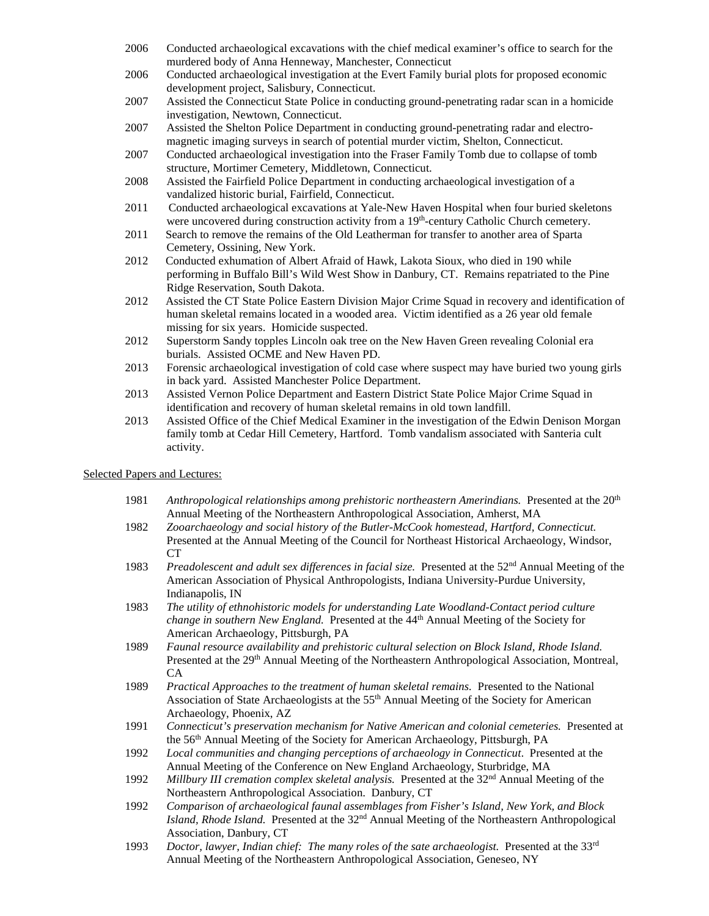- 2006 Conducted archaeological excavations with the chief medical examiner's office to search for the murdered body of Anna Henneway, Manchester, Connecticut
- 2006 Conducted archaeological investigation at the Evert Family burial plots for proposed economic development project, Salisbury, Connecticut.
- 2007 Assisted the Connecticut State Police in conducting ground-penetrating radar scan in a homicide investigation, Newtown, Connecticut.
- 2007 Assisted the Shelton Police Department in conducting ground-penetrating radar and electromagnetic imaging surveys in search of potential murder victim, Shelton, Connecticut.
- 2007 Conducted archaeological investigation into the Fraser Family Tomb due to collapse of tomb structure, Mortimer Cemetery, Middletown, Connecticut.
- 2008 Assisted the Fairfield Police Department in conducting archaeological investigation of a vandalized historic burial, Fairfield, Connecticut.
- 2011 Conducted archaeological excavations at Yale-New Haven Hospital when four buried skeletons were uncovered during construction activity from a 19<sup>th</sup>-century Catholic Church cemetery.
- 2011 Search to remove the remains of the Old Leatherman for transfer to another area of Sparta Cemetery, Ossining, New York.
- 2012 Conducted exhumation of Albert Afraid of Hawk, Lakota Sioux, who died in 190 while performing in Buffalo Bill's Wild West Show in Danbury, CT. Remains repatriated to the Pine Ridge Reservation, South Dakota.
- 2012 Assisted the CT State Police Eastern Division Major Crime Squad in recovery and identification of human skeletal remains located in a wooded area. Victim identified as a 26 year old female missing for six years. Homicide suspected.
- 2012 Superstorm Sandy topples Lincoln oak tree on the New Haven Green revealing Colonial era burials. Assisted OCME and New Haven PD.
- 2013 Forensic archaeological investigation of cold case where suspect may have buried two young girls in back yard. Assisted Manchester Police Department.
- 2013 Assisted Vernon Police Department and Eastern District State Police Major Crime Squad in identification and recovery of human skeletal remains in old town landfill.
- 2013 Assisted Office of the Chief Medical Examiner in the investigation of the Edwin Denison Morgan family tomb at Cedar Hill Cemetery, Hartford. Tomb vandalism associated with Santeria cult activity.

### Selected Papers and Lectures:

- 1981 *Anthropological relationships among prehistoric northeastern Amerindians.* Presented at the 20<sup>th</sup> Annual Meeting of the Northeastern Anthropological Association, Amherst, MA
- 1982 *Zooarchaeology and social history of the Butler-McCook homestead, Hartford, Connecticut.*  Presented at the Annual Meeting of the Council for Northeast Historical Archaeology, Windsor, CT
- 1983 *Preadolescent and adult sex differences in facial size.* Presented at the 52nd Annual Meeting of the American Association of Physical Anthropologists, Indiana University-Purdue University, Indianapolis, IN
- 1983 *The utility of ethnohistoric models for understanding Late Woodland-Contact period culture change in southern New England.* Presented at the 44<sup>th</sup> Annual Meeting of the Society for American Archaeology, Pittsburgh, PA
- 1989 *Faunal resource availability and prehistoric cultural selection on Block Island, Rhode Island.*  Presented at the 29<sup>th</sup> Annual Meeting of the Northeastern Anthropological Association, Montreal, CA
- 1989 *Practical Approaches to the treatment of human skeletal remains.* Presented to the National Association of State Archaeologists at the 55th Annual Meeting of the Society for American Archaeology, Phoenix, AZ
- 1991 *Connecticut's preservation mechanism for Native American and colonial cemeteries.* Presented at the 56<sup>th</sup> Annual Meeting of the Society for American Archaeology, Pittsburgh, PA
- 1992 *Local communities and changing perceptions of archaeology in Connecticut*. Presented at the Annual Meeting of the Conference on New England Archaeology, Sturbridge, MA
- 1992 *Millbury III cremation complex skeletal analysis.* Presented at the 32nd Annual Meeting of the Northeastern Anthropological Association. Danbury, CT
- 1992 *Comparison of archaeological faunal assemblages from Fisher's Island, New York, and Block Island, Rhode Island.* Presented at the 32nd Annual Meeting of the Northeastern Anthropological Association, Danbury, CT
- 1993 *Doctor, lawyer, Indian chief: The many roles of the sate archaeologist.* Presented at the 33rd Annual Meeting of the Northeastern Anthropological Association, Geneseo, NY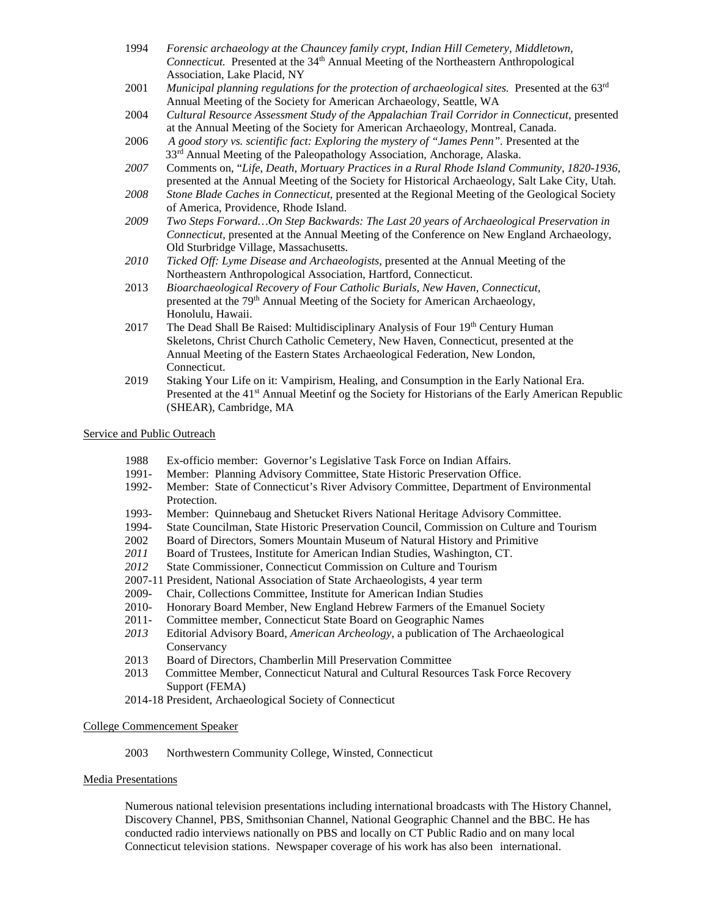- 1994 *Forensic archaeology at the Chauncey family crypt, Indian Hill Cemetery, Middletown, Connecticut.* Presented at the 34<sup>th</sup> Annual Meeting of the Northeastern Anthropological Association, Lake Placid, NY
- 2001 *Municipal planning regulations for the protection of archaeological sites.* Presented at the 63<sup>rd</sup> Annual Meeting of the Society for American Archaeology, Seattle, WA
- 2004 Cultural Resource Assessment Study of the Appalachian Trail Corridor in Connecticut, presented at the Annual Meeting of the Society for American Archaeology, Montreal, Canada.
- 2006 *A good story vs. scientific fact: Exploring the mystery of "James Penn".* Presented at the 33<sup>rd</sup> Annual Meeting of the Paleopathology Association, Anchorage, Alaska.
- *2007* Comments on, "*Life, Death, Mortuary Practices in a Rural Rhode Island Community, 1820-1936*, presented at the Annual Meeting of the Society for Historical Archaeology, Salt Lake City, Utah.
- *2008 Stone Blade Caches in Connecticut,* presented at the Regional Meeting of the Geological Society of America, Providence, Rhode Island.
- *2009 Two Steps Forward…On Step Backwards: The Last 20 years of Archaeological Preservation in Connecticut,* presented at the Annual Meeting of the Conference on New England Archaeology, Old Sturbridge Village, Massachusetts.
- *2010 Ticked Off: Lyme Disease and Archaeologists,* presented at the Annual Meeting of the Northeastern Anthropological Association, Hartford, Connecticut.
- 2013 *Bioarchaeological Recovery of Four Catholic Burials, New Haven, Connecticut,* presented at the 79th Annual Meeting of the Society for American Archaeology, Honolulu, Hawaii.
- 2017 The Dead Shall Be Raised: Multidisciplinary Analysis of Four  $19<sup>th</sup>$  Century Human Skeletons, Christ Church Catholic Cemetery, New Haven, Connecticut, presented at the Annual Meeting of the Eastern States Archaeological Federation, New London, Connecticut.
- 2019 Staking Your Life on it: Vampirism, Healing, and Consumption in the Early National Era. Presented at the 41<sup>st</sup> Annual Meetinf og the Society for Historians of the Early American Republic (SHEAR), Cambridge, MA

### Service and Public Outreach

- 1988 Ex-officio member: Governor's Legislative Task Force on Indian Affairs.
- 1991- Member: Planning Advisory Committee, State Historic Preservation Office.
- 1992- Member: State of Connecticut's River Advisory Committee, Department of Environmental Protection.
- 1993- Member: Quinnebaug and Shetucket Rivers National Heritage Advisory Committee.
- 1994- State Councilman, State Historic Preservation Council, Commission on Culture and Tourism
- 2002 Board of Directors, Somers Mountain Museum of Natural History and Primitive
- *2011* Board of Trustees, Institute for American Indian Studies, Washington, CT.
- *2012* State Commissioner, Connecticut Commission on Culture and Tourism
- 2007-11 President, National Association of State Archaeologists, 4 year term
- 2009- Chair, Collections Committee, Institute for American Indian Studies
- 2010- Honorary Board Member, New England Hebrew Farmers of the Emanuel Society
- 2011- Committee member, Connecticut State Board on Geographic Names
- *2013* Editorial Advisory Board, *American Archeology*, a publication of The Archaeological Conservancy
- 2013 Board of Directors, Chamberlin Mill Preservation Committee
- 2013 Committee Member, Connecticut Natural and Cultural Resources Task Force Recovery Support (FEMA)
- 2014-18 President, Archaeological Society of Connecticut

### College Commencement Speaker

## 2003 Northwestern Community College, Winsted, Connecticut

### Media Presentations

Numerous national television presentations including international broadcasts with The History Channel, Discovery Channel, PBS, Smithsonian Channel, National Geographic Channel and the BBC. He has conducted radio interviews nationally on PBS and locally on CT Public Radio and on many local Connecticut television stations. Newspaper coverage of his work has also been international.